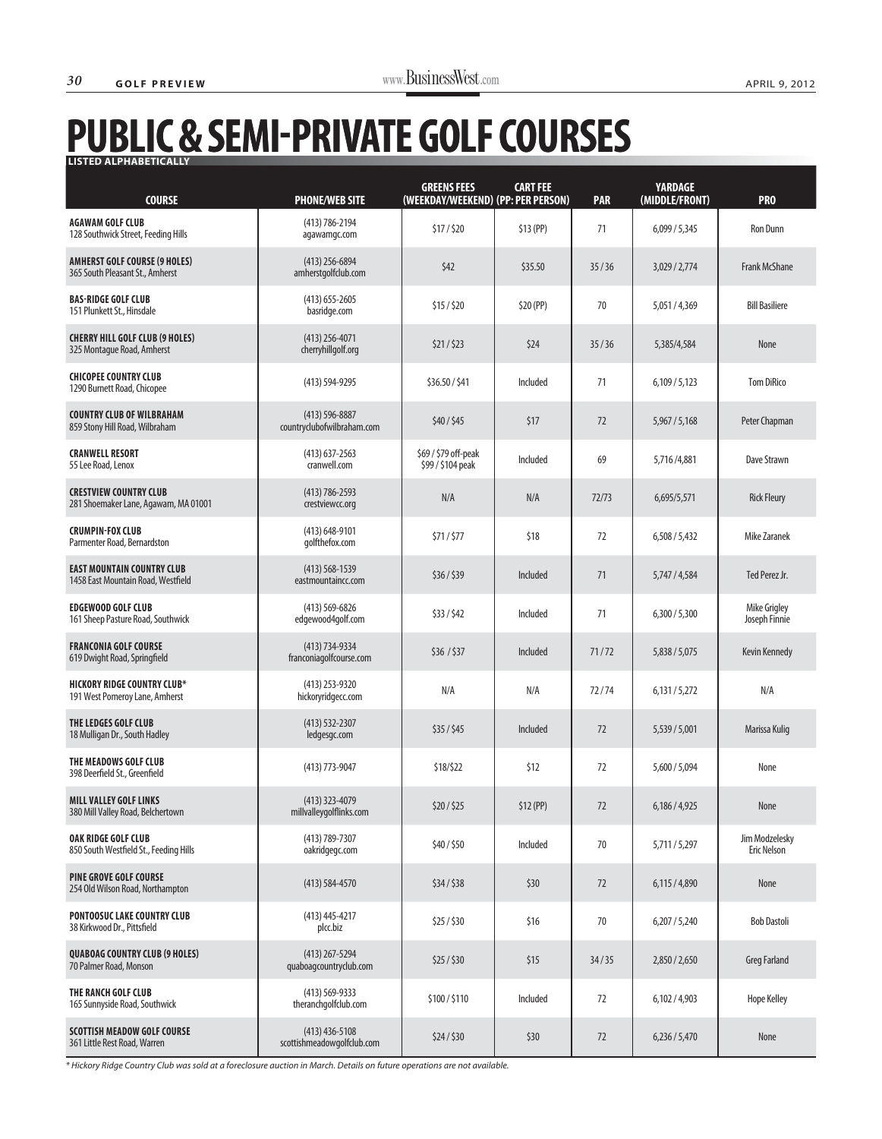## **PUBLIC & SEMI-PRIVATE GOLF COURSES LISTED ALPHABETICALLY LISTED ALPHABETICALLY**

| <b>COURSE</b>                                                           | <b>PHONE/WEB SITE</b>                            | <b>GREENS FEES</b><br>(WEEKDAY/WEEKEND) (PP: PER PERSON) | <b>CART FEE</b> | <b>PAR</b> | <b>YARDAGE</b><br>(MIDDLE/FRONT) | <b>PRO</b>                           |
|-------------------------------------------------------------------------|--------------------------------------------------|----------------------------------------------------------|-----------------|------------|----------------------------------|--------------------------------------|
| <b>AGAWAM GOLF CLUB</b><br>128 Southwick Street, Feeding Hills          | $(413) 786 - 2194$<br>agawamgc.com               | \$17/\$20                                                | $$13$ (PP)      | 71         | 6,099/5,345                      | Ron Dunn                             |
| <b>AMHERST GOLF COURSE (9 HOLES)</b><br>365 South Pleasant St., Amherst | $(413)$ 256-6894<br>amherstgolfclub.com          | \$42                                                     | \$35.50         | 35/36      | 3,029/2,774                      | <b>Frank McShane</b>                 |
| <b>BAS-RIDGE GOLF CLUB</b><br>151 Plunkett St., Hinsdale                | $(413)$ 655-2605<br>basridge.com                 | \$15/\$20                                                | \$20 (PP)       | 70         | 5,051/4,369                      | <b>Bill Basiliere</b>                |
| <b>CHERRY HILL GOLF CLUB (9 HOLES)</b><br>325 Montague Road, Amherst    | $(413)$ 256-4071<br>cherryhillgolf.org           | \$21/523                                                 | \$24            | 35/36      | 5,385/4,584                      | None                                 |
| <b>CHICOPEE COUNTRY CLUB</b><br>1290 Burnett Road, Chicopee             | $(413) 594 - 9295$                               | \$36.50 / \$41                                           | Included        | 71         | 6,109/5,123                      | <b>Tom DiRico</b>                    |
| <b>COUNTRY CLUB OF WILBRAHAM</b><br>859 Stony Hill Road, Wilbraham      | $(413) 596 - 8887$<br>countryclubofwilbraham.com | \$40/\$45                                                | \$17            | 72         | 5,967 / 5,168                    | Peter Chapman                        |
| <b>CRANWELL RESORT</b><br>55 Lee Road, Lenox                            | $(413)$ 637-2563<br>cranwell.com                 | \$69 / \$79 off-peak<br>\$99 / \$104 peak                | Included        | 69         | 5,716/4,881                      | Dave Strawn                          |
| <b>CRESTVIEW COUNTRY CLUB</b><br>281 Shoemaker Lane, Agawam, MA 01001   | $(413) 786 - 2593$<br>crestviewcc.org            | N/A                                                      | N/A             | 72/73      | 6,695/5,571                      | <b>Rick Fleury</b>                   |
| <b>CRUMPIN-FOX CLUB</b><br>Parmenter Road, Bernardston                  | $(413) 648 - 9101$<br>golfthefox.com             | \$71/\$77                                                | \$18            | 72         | 6,508/5,432                      | Mike Zaranek                         |
| <b>EAST MOUNTAIN COUNTRY CLUB</b><br>1458 East Mountain Road, Westfield | $(413) 568 - 1539$<br>eastmountaincc.com         | \$36/\$39                                                | Included        | 71         | 5,747 / 4,584                    | Ted Perez Jr.                        |
| <b>EDGEWOOD GOLF CLUB</b><br>161 Sheep Pasture Road, Southwick          | $(413) 569 - 6826$<br>edgewood4golf.com          | \$33/\$42                                                | Included        | 71         | 6,300/5,300                      | <b>Mike Grigley</b><br>Joseph Finnie |
| <b>FRANCONIA GOLF COURSE</b><br>619 Dwight Road, Springfield            | (413) 734-9334<br>franconiagolfcourse.com        | \$36 / \$37                                              | Included        | 71/72      | 5,838 / 5,075                    | <b>Kevin Kennedy</b>                 |
| <b>HICKORY RIDGE COUNTRY CLUB*</b><br>191 West Pomeroy Lane, Amherst    | (413) 253-9320<br>hickoryridgecc.com             | N/A                                                      | N/A             | 72/74      | 6,131/5,272                      | N/A                                  |
| THE LEDGES GOLF CLUB<br>18 Mulligan Dr., South Hadley                   | $(413) 532 - 2307$<br>ledgesgc.com               | \$35/\$45                                                | Included        | 72         | 5,539 / 5,001                    | Marissa Kulig                        |
| THE MEADOWS GOLF CLUB<br>398 Deerfield St., Greenfield                  | $(413)$ 773-9047                                 | \$18/\$22                                                | \$12            | 72         | 5,600 / 5,094                    | None                                 |
| <b>MILL VALLEY GOLF LINKS</b><br>380 Mill Valley Road, Belchertown      | $(413)$ 323-4079<br>millvalleygolflinks.com      | \$20/\$25                                                | \$12(PP)        | 72         | 6,186/4,925                      | None                                 |
| <b>OAK RIDGE GOLF CLUB</b><br>850 South Westfield St., Feeding Hills    | (413) 789-7307<br>oakridgegc.com                 | \$40/\$50                                                | Included        | 70         | 5,711/5,297                      | Jim Modzelesky<br><b>Eric Nelson</b> |
| <b>PINE GROVE GOLF COURSE</b><br>254 Old Wilson Road, Northampton       | $(413) 584 - 4570$                               | \$34/\$38                                                | \$30            | 72         | 6,115/4,890                      | None                                 |
| PONTOOSUC LAKE COUNTRY CLUB<br>38 Kirkwood Dr., Pittsfield              | $(413)$ 445-4217<br>plcc.biz                     | \$25/\$30                                                | \$16            | 70         | 6,207/5,240                      | <b>Bob Dastoli</b>                   |
| <b>QUABOAG COUNTRY CLUB (9 HOLES)</b><br>70 Palmer Road, Monson         | $(413)$ 267-5294<br>quaboaqcountryclub.com       | \$25/\$30                                                | \$15            | 34/35      | 2,850 / 2,650                    | <b>Greg Farland</b>                  |
| THE RANCH GOLF CLUB<br>165 Sunnyside Road, Southwick                    | $(413) 569 - 9333$<br>theranchgolfclub.com       | \$100/\$110                                              | Included        | 72         | 6,102/4,903                      | <b>Hope Kelley</b>                   |
| <b>SCOTTISH MEADOW GOLF COURSE</b><br>361 Little Rest Road, Warren      | $(413)$ 436-5108<br>scottishmeadowgolfclub.com   | \$24/\$30                                                | \$30            | 72         | 6,236/5,470                      | None                                 |

\* Hickory Ridge Country Club was sold at a foreclosure auction in March. Details on future operations are not available.